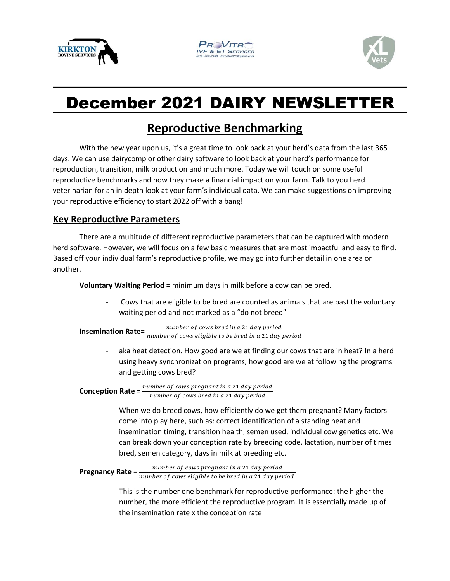





## December 2021 DAIRY NEWSLETTER

## **Reproductive Benchmarking**

With the new year upon us, it's a great time to look back at your herd's data from the last 365 days. We can use dairycomp or other dairy software to look back at your herd's performance for reproduction, transition, milk production and much more. Today we will touch on some useful reproductive benchmarks and how they make a financial impact on your farm. Talk to you herd veterinarian for an in depth look at your farm's individual data. We can make suggestions on improving your reproductive efficiency to start 2022 off with a bang!

## **Key Reproductive Parameters**

There are a multitude of different reproductive parameters that can be captured with modern herd software. However, we will focus on a few basic measures that are most impactful and easy to find. Based off your individual farm's reproductive profile, we may go into further detail in one area or another.

**Voluntary Waiting Period =** minimum days in milk before a cow can be bred.

Cows that are eligible to be bred are counted as animals that are past the voluntary waiting period and not marked as a "do not breed"

**Insemination Rate=**  $\frac{number\ of\ cows\ bred\ in\ a\ 21\ day\ period}{number\ of\ cows\ eligible\ to\ be\ bred\ in\ a\ 21\ day\ period}$ 

aka heat detection. How good are we at finding our cows that are in heat? In a herd using heavy synchronization programs, how good are we at following the programs and getting cows bred?

**Conception Rate** =  $\frac{number\ of\ cow\ p$  regnant in a 21 day period number of cows bred in a 21 day period

> When we do breed cows, how efficiently do we get them pregnant? Many factors come into play here, such as: correct identification of a standing heat and insemination timing, transition health, semen used, individual cow genetics etc. We can break down your conception rate by breeding code, lactation, number of times bred, semen category, days in milk at breeding etc.

```
Pregnancy Rate = \frac{number\ of\ cos\ p\nu}}{number\ of\ cos\ eligible\ to\ be\ bred\ in\ a\ 21\ day\ period}\emph{number of cows} pregnant in a 21 day period
```
This is the number one benchmark for reproductive performance: the higher the number, the more efficient the reproductive program. It is essentially made up of the insemination rate x the conception rate